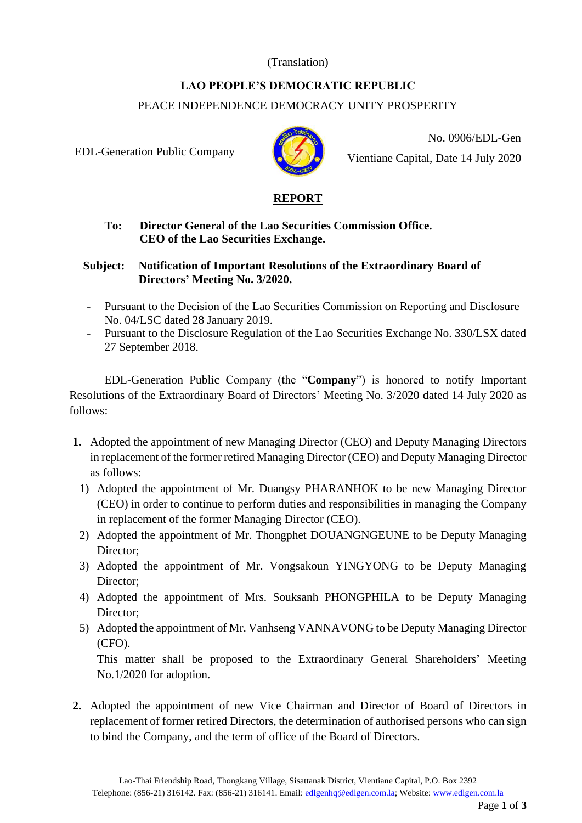## (Translation)

# **LAO PEOPLE'S DEMOCRATIC REPUBLIC**  PEACE INDEPENDENCE DEMOCRACY UNITY PROSPERITY

EDL-Generation Public Company



No. 0906/EDL-Gen Vientiane Capital, Date 14 July 2020

## **REPORT**

### **To: Director General of the Lao Securities Commission Office. CEO of the Lao Securities Exchange.**

### **Subject: Notification of Important Resolutions of the Extraordinary Board of Directors' Meeting No. 3/2020.**

- Pursuant to the Decision of the Lao Securities Commission on Reporting and Disclosure No. 04/LSC dated 28 January 2019.
- Pursuant to the Disclosure Regulation of the Lao Securities Exchange No. 330/LSX dated 27 September 2018.

EDL-Generation Public Company (the "**Company**") is honored to notify Important Resolutions of the Extraordinary Board of Directors' Meeting No. 3/2020 dated 14 July 2020 as follows:

- **1.** Adopted the appointment of new Managing Director (CEO) and Deputy Managing Directors in replacement of the former retired Managing Director (CEO) and Deputy Managing Director as follows:
	- 1) Adopted the appointment of Mr. Duangsy PHARANHOK to be new Managing Director (CEO) in order to continue to perform duties and responsibilities in managing the Company in replacement of the former Managing Director (CEO).
	- 2) Adopted the appointment of Mr. Thongphet DOUANGNGEUNE to be Deputy Managing Director;
	- 3) Adopted the appointment of Mr. Vongsakoun YINGYONG to be Deputy Managing Director;
	- 4) Adopted the appointment of Mrs. Souksanh PHONGPHILA to be Deputy Managing Director;
	- 5) Adopted the appointment of Mr. Vanhseng VANNAVONG to be Deputy Managing Director (CFO).

This matter shall be proposed to the Extraordinary General Shareholders' Meeting No.1/2020 for adoption.

**2.** Adopted the appointment of new Vice Chairman and Director of Board of Directors in replacement of former retired Directors, the determination of authorised persons who can sign to bind the Company, and the term of office of the Board of Directors.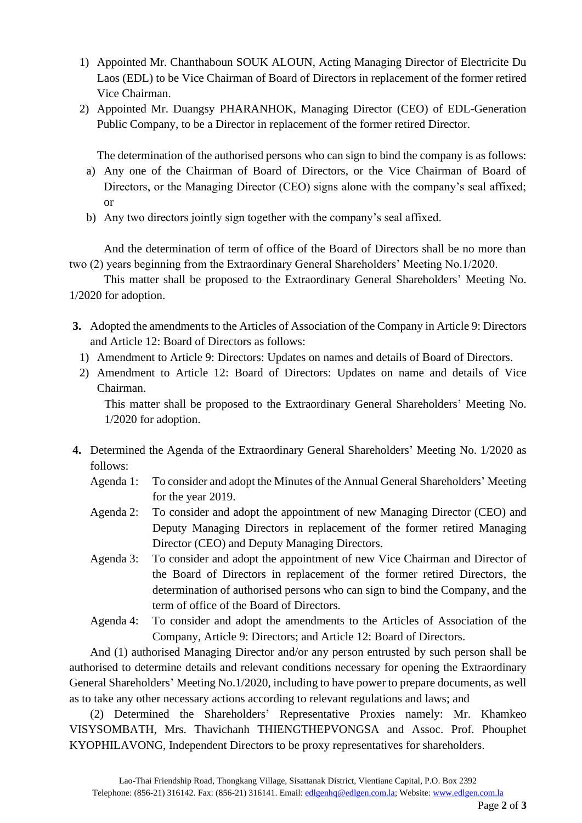- 1) Appointed Mr. Chanthaboun SOUK ALOUN, Acting Managing Director of Electricite Du Laos (EDL) to be Vice Chairman of Board of Directors in replacement of the former retired Vice Chairman.
- 2) Appointed Mr. Duangsy PHARANHOK, Managing Director (CEO) of EDL-Generation Public Company, to be a Director in replacement of the former retired Director.

The determination of the authorised persons who can sign to bind the company is as follows:

- a) Any one of the Chairman of Board of Directors, or the Vice Chairman of Board of Directors, or the Managing Director (CEO) signs alone with the company's seal affixed; or
- b) Any two directors jointly sign together with the company's seal affixed.

And the determination of term of office of the Board of Directors shall be no more than two (2) years beginning from the Extraordinary General Shareholders' Meeting No.1/2020.

This matter shall be proposed to the Extraordinary General Shareholders' Meeting No. 1/2020 for adoption.

- **3.** Adopted the amendments to the Articles of Association of the Company in Article 9: Directors and Article 12: Board of Directors as follows:
	- 1) Amendment to Article 9: Directors: Updates on names and details of Board of Directors.
	- 2) Amendment to Article 12: Board of Directors: Updates on name and details of Vice Chairman.

This matter shall be proposed to the Extraordinary General Shareholders' Meeting No. 1/2020 for adoption.

- **4.** Determined the Agenda of the Extraordinary General Shareholders' Meeting No. 1/2020 as follows:
	- Agenda 1: To consider and adopt the Minutes of the Annual General Shareholders' Meeting for the year 2019.
	- Agenda 2: To consider and adopt the appointment of new Managing Director (CEO) and Deputy Managing Directors in replacement of the former retired Managing Director (CEO) and Deputy Managing Directors.
	- Agenda 3: To consider and adopt the appointment of new Vice Chairman and Director of the Board of Directors in replacement of the former retired Directors, the determination of authorised persons who can sign to bind the Company, and the term of office of the Board of Directors.
	- Agenda 4: To consider and adopt the amendments to the Articles of Association of the Company, Article 9: Directors; and Article 12: Board of Directors.

And (1) authorised Managing Director and/or any person entrusted by such person shall be authorised to determine details and relevant conditions necessary for opening the Extraordinary General Shareholders' Meeting No.1/2020, including to have power to prepare documents, as well as to take any other necessary actions according to relevant regulations and laws; and

(2) Determined the Shareholders' Representative Proxies namely: Mr. Khamkeo VISYSOMBATH, Mrs. Thavichanh THIENGTHEPVONGSA and Assoc. Prof. Phouphet KYOPHILAVONG, Independent Directors to be proxy representatives for shareholders.